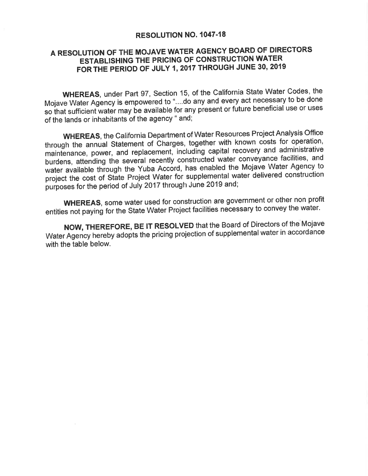## RESOLUTION NO. 1047-18

## A RESOLUTION OF THE MOJAVE WATER AGENCY BOARD OF DIRECTORS **ESTABLISHING THE PRICING OF CONSTRUCTION WATER** FOR THE PERIOD OF JULY 1, 2017 THROUGH JUNE 30, 2019

WHEREAS, under Part 97, Section 15, of the California State Water Codes, the Mojave Water Agency is empowered to "....do any and every act necessary to be done so that sufficient water may be available for any present or future beneficial use or uses of the lands or inhabitants of the agency " and;

**WHEREAS**, the California Department of Water Resources Project Analysis Office through the annual Statement of Charges, together with known costs for operation, maintenance, power, and replacement, including capital recovery and administrative burdens, attending the several recently constructed water conveyance facilities, and water available through the Yuba Accord, has enabled the Mojave Water Agency to project the cost of State Project Water for supplemental water delivered construction purposes for the period of July 2017 through June 2019 and;

**WHEREAS**, some water used for construction are government or other non profit entities not paying for the State Water Project facilities necessary to convey the water.

NOW, THEREFORE, BE IT RESOLVED that the Board of Directors of the Mojave Water Agency hereby adopts the pricing projection of supplemental water in accordance with the table below.